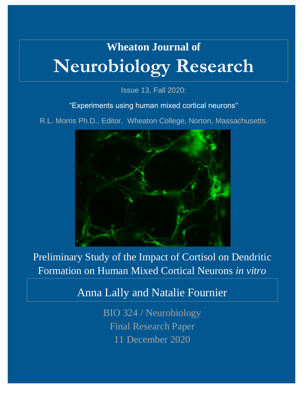# **Wheaton Journal of Neurobiology Research**

Issue 13, Fall 2020:

"Experiments using human mixed cortical neurons"

R.L. Morris Ph.D., Editor. Wheaton College, Norton, Massachusetts.



Preliminary Study of the Impact of Cortisol on Dendritic Formation on Human Mixed Cortical Neurons *in vitro*

Anna Lally and Natalie Fournier

BIO 324 / Neurobiology Final Research Paper 11 December 2020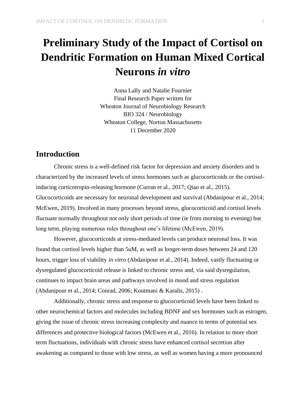# **Preliminary Study of the Impact of Cortisol on Dendritic Formation on Human Mixed Cortical Neurons** *in vitro*

Anna Lally and Natalie Fournier Final Research Paper written for Wheaton Journal of Neurobiology Research BIO 324 / Neurobiology Wheaton College, Norton Massachusetts 11 December 2020

# **Introduction**

Chronic stress is a well-defined risk factor for depression and anxiety disorders and is characterized by the increased levels of stress hormones such as glucocorticoids or the cortisolinducing corticotropin-releasing hormone (Curran et al., 2017; Qiao et al., 2015). Glucocorticoids are necessary for neuronal development and survival (Abdanipour et al., 2014; McEwen, 2019). Involved in many processes beyond stress, glucocorticoid and cortisol levels fluctuate normally throughout not only short periods of time (ie from morning to evening) but long term, playing numerous roles throughout one's lifetime (McEwen, 2019).

However, glucocorticoids at stress-mediated levels can produce neuronal loss. It was found that cortisol levels higher than 5uM, as well as longer-term doses between 24 and 120 hours, trigger loss of viability *in vitro* (Abdanipour et al., 2014). Indeed, vastly fluctuating or dysregulated glucocorticoid release is linked to chronic stress and, via said dysregulation, continues to impact brain areas and pathways involved in mood and stress regulation (Abdanipour et al., 2014; Conrad, 2006; Koutmani & Karalis, 2015) .

Additionally, chronic stress and response to glucocorticoid levels have been linked to other neurochemical factors and molecules including BDNF and sex hormones such as estrogen, giving the issue of chronic stress increasing complexity and nuance in terms of potential sex differences and protective biological factors (McEwen et al., 2016). In relation to more short term fluctuations, individuals with chronic stress have enhanced cortisol secretion after awakening as compared to those with low stress, as well as women having a more pronounced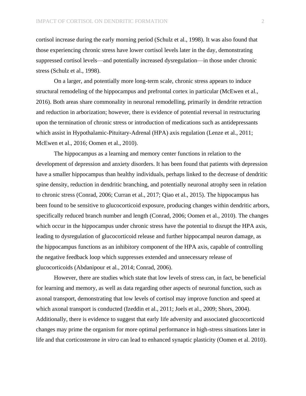cortisol increase during the early morning period (Schulz et al., 1998). It was also found that those experiencing chronic stress have lower cortisol levels later in the day, demonstrating suppressed cortisol levels—and potentially increased dysregulation—in those under chronic stress (Schulz et al., 1998).

On a larger, and potentially more long-term scale, chronic stress appears to induce structural remodeling of the hippocampus and prefrontal cortex in particular (McEwen et al., 2016). Both areas share commonality in neuronal remodelling, primarily in dendrite retraction and reduction in arborization; however, there is evidence of potential reversal in restructuring upon the termination of chronic stress or introduction of medications such as antidepressants which assist in Hypothalamic-Pituitary-Adrenal (HPA) axis regulation (Lenze et al., 2011; McEwen et al., 2016; Oomen et al., 2010).

The hippocampus as a learning and memory center functions in relation to the development of depression and anxiety disorders. It has been found that patients with depression have a smaller hippocampus than healthy individuals, perhaps linked to the decrease of dendritic spine density, reduction in dendritic branching, and potentially neuronal atrophy seen in relation to chronic stress (Conrad, 2006; Curran et al., 2017; Qiao et al., 2015). The hippocampus has been found to be sensitive to glucocorticoid exposure, producing changes within dendritic arbors, specifically reduced branch number and length (Conrad, 2006; Oomen et al., 2010). The changes which occur in the hippocampus under chronic stress have the potential to disrupt the HPA axis, leading to dysregulation of glucocorticoid release and further hippocampal neuron damage, as the hippocampus functions as an inhibitory component of the HPA axis, capable of controlling the negative feedback loop which suppresses extended and unnecessary release of glucocorticoids (Abdanipour et al., 2014; Conrad, 2006).

However, there are studies which state that low levels of stress can, in fact, be beneficial for learning and memory, as well as data regarding other aspects of neuronal function, such as axonal transport, demonstrating that low levels of cortisol may improve function and speed at which axonal transport is conducted (Izeddin et al., 2011; Joels et al., 2009; Shors, 2004). Additionally, there is evidence to suggest that early life adversity and associated glucocorticoid changes may prime the organism for more optimal performance in high-stress situations later in life and that corticosterone *in vitro* can lead to enhanced synaptic plasticity (Oomen et al. 2010).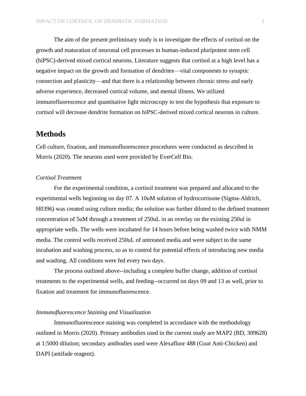The aim of the present preliminary study is to investigate the effects of cortisol on the growth and maturation of neuronal cell processes in human-induced pluripotent stem cell (hiPSC)-derived mixed cortical neurons. Literature suggests that cortisol at a high level has a negative impact on the growth and formation of dendrites—vital components to synaptic connection and plasticity—and that there is a relationship between chronic stress and early adverse experience, decreased cortical volume, and mental illness. We utilized immunofluorescence and quantitative light microscopy to test the hypothesis that exposure to cortisol will decrease dendrite formation on hiPSC-derived mixed cortical neurons in culture.

# **Methods**

Cell culture, fixation, and immunofluorescence procedures were conducted as described in Morris (2020). The neurons used were provided by EverCell Bio.

#### *Cortisol Treatment*

For the experimental condition, a cortisol treatment was prepared and allocated to the experimental wells beginning on day 07. A 10uM solution of hydrocortisone (Sigma-Aldrich, H0396) was created using culture media; the solution was further diluted to the defined treatment concentration of 5uM through a treatment of 250uL in an overlay on the existing 250ul in appropriate wells. The wells were incubated for 14 hours before being washed twice with NMM media. The control wells received 250uL of untreated media and were subject to the same incubation and washing process, so as to control for potential effects of introducing new media and washing. All conditions were fed every two days.

The process outlined above--including a complete buffer change, addition of cortisol treatments to the experimental wells, and feeding--occurred on days 09 and 13 as well, prior to fixation and treatment for immunofluorescence.

#### *Immunofluorescence Staining and Visualization*

Immunofluorescence staining was completed in accordance with the methodology outlined in Morris (2020). Primary antibodies used in the current study are MAP2 (BD, 309628) at 1:5000 dilution; secondary antibodies used were Alexafluor 488 (Goat Anti-Chicken) and DAPI (antifade reagent).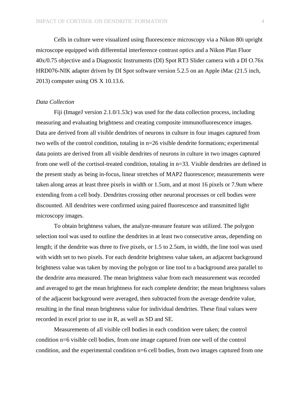Cells in culture were visualized using fluorescence microscopy via a Nikon 80i upright microscope equipped with differential interference contrast optics and a Nikon Plan Fluor 40x/0.75 objective and a Diagnostic Instruments (DI) Spot RT3 Slider camera with a DI O.76x HRD076-NIK adapter driven by DI Spot software version 5.2.5 on an Apple iMac (21.5 inch, 2013) computer using OS X 10.13.6.

#### *Data Collection*

Fiji (ImageJ version 2.1.0/1.53c) was used for the data collection process, including measuring and evaluating brightness and creating composite immunofluorescence images. Data are derived from all visible dendrites of neurons in culture in four images captured from two wells of the control condition, totaling in n=26 visible dendrite formations; experimental data points are derived from all visible dendrites of neurons in culture in two images captured from one well of the cortisol-treated condition, totaling in n=33. Visible dendrites are defined in the present study as being in-focus, linear stretches of MAP2 fluorescence; measurements were taken along areas at least three pixels in width or 1.5um, and at most 16 pixels or 7.9um where extending from a cell body. Dendrites crossing other neuronal processes or cell bodies were discounted. All dendrites were confirmed using paired fluorescence and transmitted light microscopy images.

To obtain brightness values, the analyze-measure feature was utilized. The polygon selection tool was used to outline the dendrites in at least two consecutive areas, depending on length; if the dendrite was three to five pixels, or 1.5 to 2.5um, in width, the line tool was used with width set to two pixels. For each dendrite brightness value taken, an adjacent background brightness value was taken by moving the polygon or line tool to a background area parallel to the dendrite area measured. The mean brightness value from each measurement was recorded and averaged to get the mean brightness for each complete dendrite; the mean brightness values of the adjacent background were averaged, then subtracted from the average dendrite value, resulting in the final mean brightness value for individual dendrites. These final values were recorded in excel prior to use in R, as well as SD and SE.

Measurements of all visible cell bodies in each condition were taken; the control condition n=6 visible cell bodies, from one image captured from one well of the control condition, and the experimental condition n=6 cell bodies, from two images captured from one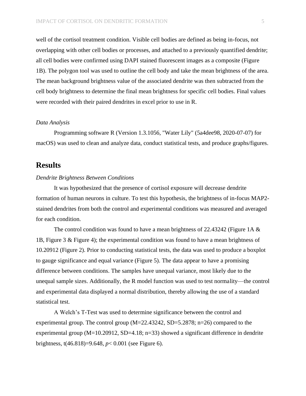well of the cortisol treatment condition. Visible cell bodies are defined as being in-focus, not overlapping with other cell bodies or processes, and attached to a previously quantified dendrite; all cell bodies were confirmed using DAPI stained fluorescent images as a composite (Figure 1B). The polygon tool was used to outline the cell body and take the mean brightness of the area. The mean background brightness value of the associated dendrite was then subtracted from the cell body brightness to determine the final mean brightness for specific cell bodies. Final values were recorded with their paired dendrites in excel prior to use in R.

#### *Data Analysis*

Programming software R (Version 1.3.1056, "Water Lily" (5a4dee98, 2020-07-07) for macOS) was used to clean and analyze data, conduct statistical tests, and produce graphs/figures.

# **Results**

#### *Dendrite Brightness Between Conditions*

It was hypothesized that the presence of cortisol exposure will decrease dendrite formation of human neurons in culture. To test this hypothesis, the brightness of in-focus MAP2 stained dendrites from both the control and experimental conditions was measured and averaged for each condition.

The control condition was found to have a mean brightness of 22.43242 (Figure 1A  $\&$ 1B, Figure 3 & Figure 4); the experimental condition was found to have a mean brightness of 10.20912 (Figure 2). Prior to conducting statistical tests, the data was used to produce a boxplot to gauge significance and equal variance (Figure 5). The data appear to have a promising difference between conditions. The samples have unequal variance, most likely due to the unequal sample sizes. Additionally, the R model function was used to test normality—the control and experimental data displayed a normal distribution, thereby allowing the use of a standard statistical test.

A Welch's T-Test was used to determine significance between the control and experimental group. The control group (M=22.43242, SD=5.2878; n=26) compared to the experimental group  $(M=10.20912, SD=4.18; n=33)$  showed a significant difference in dendrite brightness, t(46.818)=9.648, *p*< 0.001 (see Figure 6).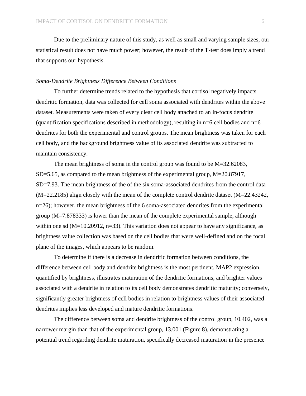Due to the preliminary nature of this study, as well as small and varying sample sizes, our statistical result does not have much power; however, the result of the T-test does imply a trend that supports our hypothesis.

#### *Soma-Dendrite Brightness Difference Between Conditions*

To further determine trends related to the hypothesis that cortisol negatively impacts dendritic formation, data was collected for cell soma associated with dendrites within the above dataset. Measurements were taken of every clear cell body attached to an in-focus dendrite (quantification specifications described in methodology), resulting in  $n=6$  cell bodies and  $n=6$ dendrites for both the experimental and control groups. The mean brightness was taken for each cell body, and the background brightness value of its associated dendrite was subtracted to maintain consistency.

The mean brightness of soma in the control group was found to be M=32.62083, SD=5.65, as compared to the mean brightness of the experimental group, M=20.87917, SD=7.93. The mean brightness of the of the six soma-associated dendrites from the control data (M=22.2185) align closely with the mean of the complete control dendrite dataset (M=22.43242, n=26); however, the mean brightness of the 6 soma-associated dendrites from the experimental group (M=7.878333) is lower than the mean of the complete experimental sample, although within one sd  $(M=10.20912, n=33)$ . This variation does not appear to have any significance, as brightness value collection was based on the cell bodies that were well-defined and on the focal plane of the images, which appears to be random.

To determine if there is a decrease in dendritic formation between conditions, the difference between cell body and dendrite brightness is the most pertinent. MAP2 expression, quantified by brightness, illustrates maturation of the dendritic formations, and brighter values associated with a dendrite in relation to its cell body demonstrates dendritic maturity; conversely, significantly greater brightness of cell bodies in relation to brightness values of their associated dendrites implies less developed and mature dendritic formations.

The difference between soma and dendrite brightness of the control group, 10.402, was a narrower margin than that of the experimental group, 13.001 (Figure 8), demonstrating a potential trend regarding dendrite maturation, specifically decreased maturation in the presence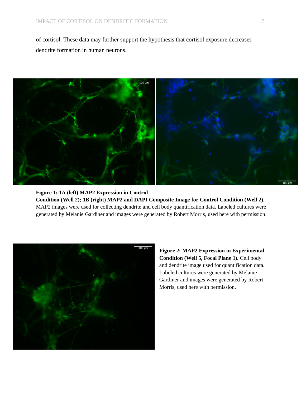of cortisol. These data may further support the hypothesis that cortisol exposure decreases dendrite formation in human neurons.



**Figure 1: 1A (left) MAP2 Expression in Control Condition (Well 2); 1B (right) MAP2 and DAPI Composite Image for Control Condition (Well 2).**  MAP2 images were used for collecting dendrite and cell body quantification data. Labeled cultures were generated by Melanie Gardiner and images were generated by Robert Morris, used here with permission.



**Figure 2: MAP2 Expression in Experimental Condition (Well 5, Focal Plane 1).** Cell body and dendrite image used for quantification data. Labeled cultures were generated by Melanie Gardiner and images were generated by Robert Morris, used here with permission.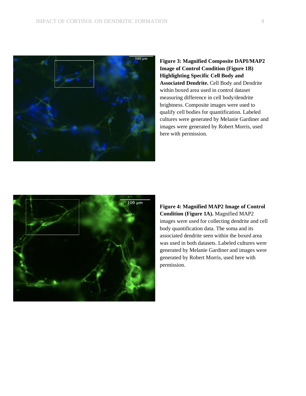

**Figure 3: Magnified Composite DAPI/MAP2 Image of Control Condition (Figure 1B) Highlighting Specific Cell Body and Associated Dendrite.** Cell Body and Dendrite within boxed area used in control dataset measuring difference in cell body/dendrite brightness. Composite images were used to qualify cell bodies for quantification. Labeled cultures were generated by Melanie Gardiner and images were generated by Robert Morris, used here with permission.



**Figure 4: Magnified MAP2 Image of Control Condition (Figure 1A).** Magnified MAP2 images were used for collecting dendrite and cell body quantification data. The soma and its associated dendrite seen within the boxed area was used in both datasets. Labeled cultures were generated by Melanie Gardiner and images were generated by Robert Morris, used here with permission.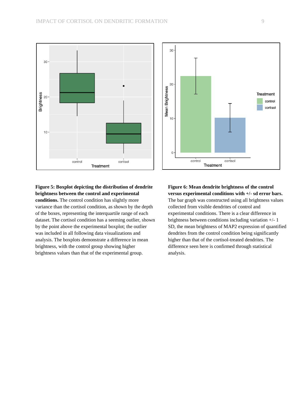

#### **Figure 5: Boxplot depicting the distribution of dendrite brightness between the control and experimental conditions.** The control condition has slightly more

variance than the cortisol condition, as shown by the depth of the boxes, representing the interquartile range of each dataset. The cortisol condition has a seeming outlier, shown by the point above the experimental boxplot; the outlier was included in all following data visualizations and analysis. The boxplots demonstrate a difference in mean brightness, with the control group showing higher brightness values than that of the experimental group.



### **Figure 6: Mean dendrite brightness of the control versus experimental conditions with +/- sd error bars.**

The bar graph was constructed using all brightness values collected from visible dendrites of control and experimental conditions. There is a clear difference in brightness between conditions including variation +/- 1 SD, the mean brightness of MAP2 expression of quantified dendrites from the control condition being significantly higher than that of the cortisol-treated dendrites. The difference seen here is confirmed through statistical analysis.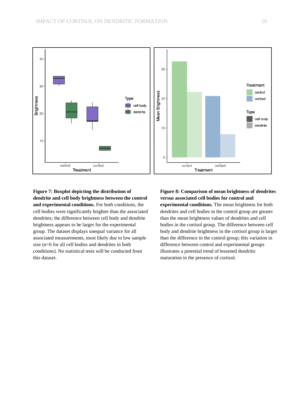

**Figure 7: Boxplot depicting the distribution of dendrite and cell body brightness between the control and experimental conditions.** For both conditions, the cell bodies were significantly brighter than the associated dendrites; the difference between cell body and dendrite brightness appears to be larger for the experimental group. The dataset displays unequal variance for all associated measurements, most likely due to low sample size (n=6 for all cell bodies and dendrites in both conditions). No statistical tests will be conducted from this dataset.

**Figure 8: Comparison of mean brightness of dendrites versus associated cell bodies for control and experimental conditions.** The mean brightness for both dendrites and cell bodies in the control group are greater than the mean brightness values of dendrites and cell bodies in the cortisol group. The difference between cell body and dendrite brightness in the cortisol group is larger than the difference in the control group; this variation in difference between control and experimental groups illustrates a potential trend of lessened dendritic maturation in the presence of cortisol.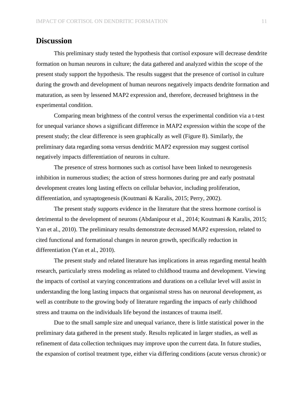# **Discussion**

This preliminary study tested the hypothesis that cortisol exposure will decrease dendrite formation on human neurons in culture; the data gathered and analyzed within the scope of the present study support the hypothesis. The results suggest that the presence of cortisol in culture during the growth and development of human neurons negatively impacts dendrite formation and maturation, as seen by lessened MAP2 expression and, therefore, decreased brightness in the experimental condition.

Comparing mean brightness of the control versus the experimental condition via a t-test for unequal variance shows a significant difference in MAP2 expression within the scope of the present study; the clear difference is seen graphically as well (Figure 8). Similarly, the preliminary data regarding soma versus dendritic MAP2 expression may suggest cortisol negatively impacts differentiation of neurons in culture.

The presence of stress hormones such as cortisol have been linked to neurogenesis inhibition in numerous studies; the action of stress hormones during pre and early postnatal development creates long lasting effects on cellular behavior, including proliferation, differentiation, and synaptogenesis (Koutmani & Karalis, 2015; Perry, 2002).

The present study supports evidence in the literature that the stress hormone cortisol is detrimental to the development of neurons (Abdanipour et al., 2014; Koutmani & Karalis, 2015; Yan et al., 2010). The preliminary results demonstrate decreased MAP2 expression, related to cited functional and formational changes in neuron growth, specifically reduction in differentiation (Yan et al., 2010).

The present study and related literature has implications in areas regarding mental health research, particularly stress modeling as related to childhood trauma and development. Viewing the impacts of cortisol at varying concentrations and durations on a cellular level will assist in understanding the long lasting impacts that organismal stress has on neuronal development, as well as contribute to the growing body of literature regarding the impacts of early childhood stress and trauma on the individuals life beyond the instances of trauma itself.

Due to the small sample size and unequal variance, there is little statistical power in the preliminary data gathered in the present study. Results replicated in larger studies, as well as refinement of data collection techniques may improve upon the current data. In future studies, the expansion of cortisol treatment type, either via differing conditions (acute versus chronic) or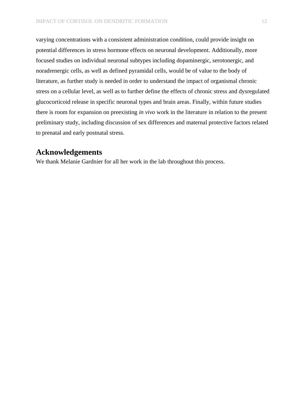varying concentrations with a consistent administration condition, could provide insight on potential differences in stress hormone effects on neuronal development. Additionally, more focused studies on individual neuronal subtypes including dopaminergic, serotonergic, and noradrenergic cells, as well as defined pyramidal cells, would be of value to the body of literature, as further study is needed in order to understand the impact of organismal chronic stress on a cellular level, as well as to further define the effects of chronic stress and dysregulated glucocorticoid release in specific neuronal types and brain areas. Finally, within future studies there is room for expansion on preexisting *in vivo* work in the literature in relation to the present preliminary study, including discussion of sex differences and maternal protective factors related to prenatal and early postnatal stress.

# **Acknowledgements**

We thank Melanie Gardnier for all her work in the lab throughout this process.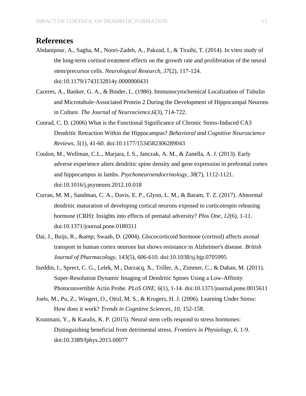# **References**

- Abdanipour, A., Sagha, M., Noori-Zadeh, A., Pakzad, I., & Tiraihi, T. (2014). In vitro study of the long-term cortisol treatment effects on the growth rate and proliferation of the neural stem/precursor cells. *Neurological Research, 37*(2), 117-124. doi:10.1179/1743132814y.0000000431
- Caceres, A., Banker, G. A., & Binder, L. (1986). Immunocytochemical Localization of Tubulin and Microtubule-Associated Protein 2 During the Development of Hippocampal Neurons in Culture. *The Journal of Neuroscience,6*(3), 714-722.
- Conrad, C. D. (2006) What is the Functional Significance of Chronic Stress-Induced CA3 Dendritic Retraction Within the Hippocampus? *Behavioral and Cognitive Neuroscience Reviews, 5*(1), 41-60. doi:10.1177/1534582306289043
- Coulon, M., Wellman, C.L., Marjara, I. S., Janczak, A. M., & Zanella, A. J. (2013). Early adverse experience alters dendritic spine density and gene expression in prefrontal cortex and hippocampus in lambs. *Psychoneuroendocrinology, 38*(7), 1112-1121. doi:10.1016/j.psyneuen.2012.10.018
- Curran, M. M., Sandman, C. A., Davis, E. P., Glynn, L. M., & Baram, T. Z. (2017). Abnormal dendritic maturation of developing cortical neurons exposed to corticotropin releasing hormone (CRH): Insights into effects of prenatal adversity? *Plos One, 12*(6), 1-11. doi:10.1371/journal.pone.0180311
- Dai, J., Buijs, R., & amp; Swaab, D. (2004). Glucocorticoid hormone (cortisol) affects axonal transport in human cortex neurons but shows resistance in Alzheimer's disease. *British Journal of Pharmacology*, 143(5), 606-610. doi:10.1038/sj.bjp.0705995
- Izeddin, I., Sprect, C. G., Lelek, M., Darzacq, X., Triller, A., Zimmer, C., & Dahan, M. (2011). Super-Resolution Dynamic Imaging of Dendritic Spines Using a Low-Affinity Photoconvertible Actin Probe. *PLoS ONE, 6*(1), 1-14. doi:10.1371/journal.pone.0015611
- Joels, M., Pu, Z., Wiegert, O., Oitzl, M. S., & Krugers, H. J. (2006). Learning Under Stress: How does it work? *Trends in Cognitive Sciences, 10*, 152-158.
- Koutmani, Y., & Karalis, K. P. (2015). Neural stem cells respond to stress hormones: Distinguishing beneficial from detrimental stress. *Frontiers in Physiology, 6*, 1-9. doi:10.3389/fphys.2015.00077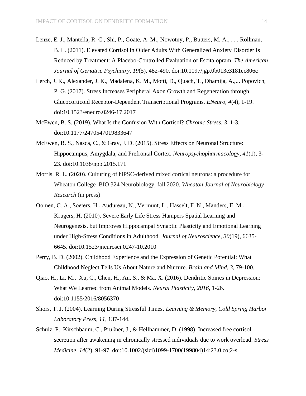- Lenze, E. J., Mantella, R. C., Shi, P., Goate, A. M., Nowotny, P., Butters, M. A., . . . Rollman, B. L. (2011). Elevated Cortisol in Older Adults With Generalized Anxiety Disorder Is Reduced by Treatment: A Placebo-Controlled Evaluation of Escitalopram. *The American Journal of Geriatric Psychiatry, 19*(5), 482-490. doi:10.1097/jgp.0b013e3181ec806c
- Lerch, J. K., Alexander, J. K., Madalena, K. M., Motti, D., Quach, T., Dhamija, A.,... Popovich, P. G. (2017). Stress Increases Peripheral Axon Growth and Regeneration through Glucocorticoid Receptor-Dependent Transcriptional Programs. *ENeuro, 4*(4), 1-19. doi:10.1523/eneuro.0246-17.2017
- McEwen, B. S. (2019). What Is the Confusion With Cortisol? *Chronic Stress, 3*, 1-3. doi:10.1177/2470547019833647
- McEwen, B. S., Nasca, C., & Gray, J. D. (2015). Stress Effects on Neuronal Structure: Hippocampus, Amygdala, and Prefrontal Cortex. *Neuropsychopharmacology, 41*(1), 3- 23. doi:10.1038/npp.2015.171
- Morris, R. L. (2020). Culturing of hiPSC-derived mixed cortical neurons: a procedure for Wheaton College BIO 324 Neurobiology, fall 2020. *Wheaton Journal of Neurobiology Research* (in press)
- Oomen, C. A., Soeters, H., Audureau, N., Vermunt, L., Hasselt, F. N., Manders, E. M., … Krugers, H. (2010). Severe Early Life Stress Hampers Spatial Learning and Neurogenesis, but Improves Hippocampal Synaptic Plasticity and Emotional Learning under High-Stress Conditions in Adulthood. *Journal of Neuroscience, 30*(19), 6635- 6645. doi:10.1523/jneurosci.0247-10.2010
- Perry, B. D. (2002). Childhood Experience and the Expression of Genetic Potential: What Childhood Neglect Tells Us About Nature and Nurture. *Brain and Mind, 3*, 79-100.
- Qiao, H., Li, M., Xu, C., Chen, H., An, S., & Ma, X. (2016). Dendritic Spines in Depression: What We Learned from Animal Models. *Neural Plasticity, 2016*, 1-26. doi:10.1155/2016/8056370
- Shors, T. J. (2004). Learning During Stressful Times. *Learning & Memory, Cold Spring Harbor Laboratory Press, 11*, 137-144.
- Schulz, P., Kirschbaum, C., Prüßner, J., & Hellhammer, D. (1998). Increased free cortisol secretion after awakening in chronically stressed individuals due to work overload. *Stress Medicine, 14*(2), 91-97. doi:10.1002/(sici)1099-1700(199804)14:23.0.co;2-s